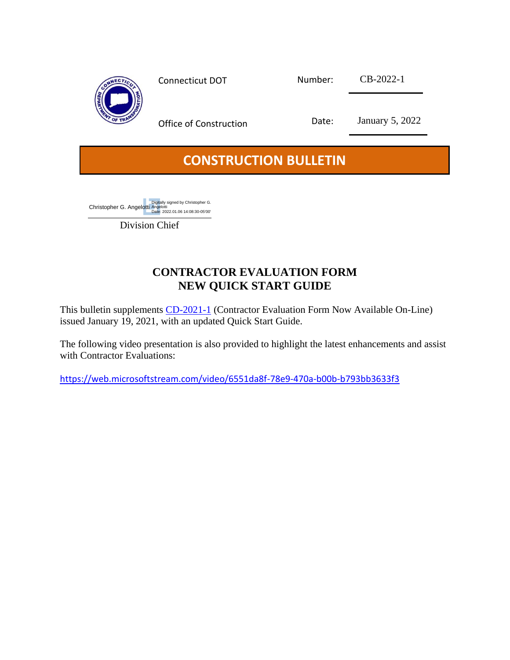

## **CONSTRUCTION BULLETIN**

Christopher G. Angelotti Digitally signed by Christopher G. Angelotti Date: 2022.01.06 14:08:30-05'00'

Division Chief

## **CONTRACTOR EVALUATION FORM NEW QUICK START GUIDE**

This bulletin supplements [CD-2021-1](https://portal.ct.gov/-/media/DOT/documents/AEC/CD-2021-1_Contractor_Eval_Online.pdf) (Contractor Evaluation Form Now Available On-Line) issued January 19, 2021, with an updated Quick Start Guide.

The following video presentation is also provided to highlight the latest enhancements and assist with Contractor Evaluations:

<https://web.microsoftstream.com/video/6551da8f-78e9-470a-b00b-b793bb3633f3>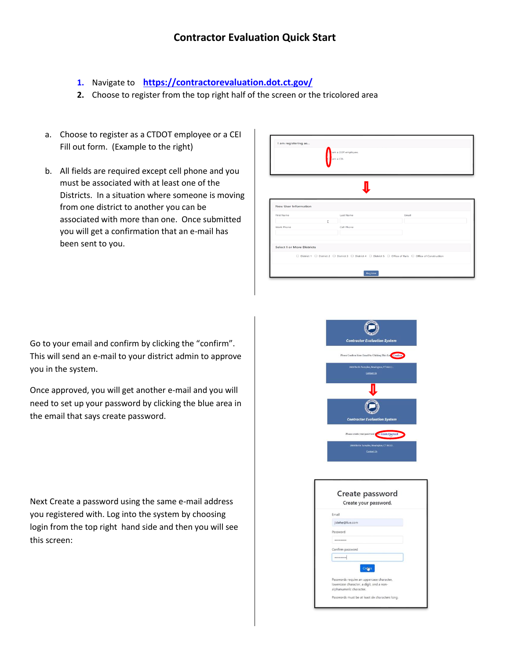- **1.** Navigate to **<https://contractorevaluation.dot.ct.gov/>**
- **2.** Choose to register from the top right half of the screen or the tricolored area
- a. Choose to register as a CTDOT employee or a CEI Fill out form. (Example to the right)
- b. All fields are required except cell phone and you must be associated with at least one of the Districts. In a situation where someone is moving from one district to another you can be associated with more than one. Once submitted you will get a confirmation that an e-mail has been sent to you.

| I am registering as               |    | am a DOT employee.<br>am a CEL |                                                                                                                                                |
|-----------------------------------|----|--------------------------------|------------------------------------------------------------------------------------------------------------------------------------------------|
|                                   |    |                                |                                                                                                                                                |
| <b>New User Information</b>       |    |                                |                                                                                                                                                |
| First Name                        |    | Last Name                      | Email                                                                                                                                          |
| Work Phone                        | T. | Cell Phone                     |                                                                                                                                                |
|                                   |    |                                |                                                                                                                                                |
| <b>Select 1 or More Districts</b> |    |                                |                                                                                                                                                |
|                                   |    |                                | $\Box$ District 1 $\Box$ District 2 $\Box$ District 3 $\Box$ District 4 $\Box$ District 5 $\Box$ Office of Rails $\Box$ Office of Construction |
|                                   |    |                                |                                                                                                                                                |

Go to your email and confirm by clicking the "confirm". This will send an e-mail to your district admin to approve you in the system.

Once approved, you will get another e-mail and you will need to set up your password by clicking the blue area in the email that says create password.

Next Create a password using the same e-mail address you registered with. Log into the system by choosing login from the top right hand side and then you will see this screen:



|                         | Create password                                 |  |
|-------------------------|-------------------------------------------------|--|
|                         | Create your password.                           |  |
| Email                   |                                                 |  |
| jidehe@live.com         |                                                 |  |
| Password                |                                                 |  |
|                         |                                                 |  |
| Confirm password        |                                                 |  |
|                         |                                                 |  |
|                         |                                                 |  |
|                         | Passwords require an uppercase character,       |  |
|                         | lowercase character, a digit, and a non-        |  |
| alphanumeric character. |                                                 |  |
|                         | Passwords must be at least six characters long. |  |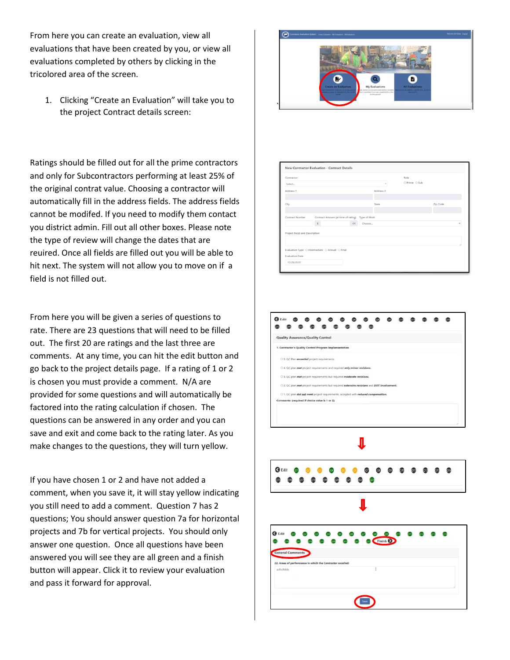From here you can create an evaluation, view all evaluations that have been created by you, or view all evaluations completed by others by clicking in the tricolored area of the screen.

1. Clicking "Create an Evaluation" will take you to the project Contract details screen:

Ratings should be filled out for all the prime contractors and only for Subcontractors performing at least 25% of the original contrat value. Choosing a contractor will automatically fill in the address fields. The address fields cannot be modifed. If you need to modify them contact you district admin. Fill out all other boxes. Please note the type of review will change the dates that are reuired. Once all fields are filled out you will be able to hit next. The system will not allow you to move on if a field is not filled out.

From here you will be given a series of questions to rate. There are 23 questions that will need to be filled out. The first 20 are ratings and the last three are comments. At any time, you can hit the edit button and go back to the project details page. If a rating of 1 or 2 is chosen you must provide a comment. N/A are provided for some questions and will automatically be factored into the rating calculation if chosen. The questions can be answered in any order and you can save and exit and come back to the rating later. As you make changes to the questions, they will turn yellow.

If you have chosen 1 or 2 and have not added a comment, when you save it, it will stay yellow indicating you still need to add a comment. Question 7 has 2 questions; You should answer question 7a for horizontal projects and 7b for vertical projects. You should only answer one question. Once all questions have been answered you will see they are all green and a finish button will appear. Click it to review your evaluation and pass it forward for approval.





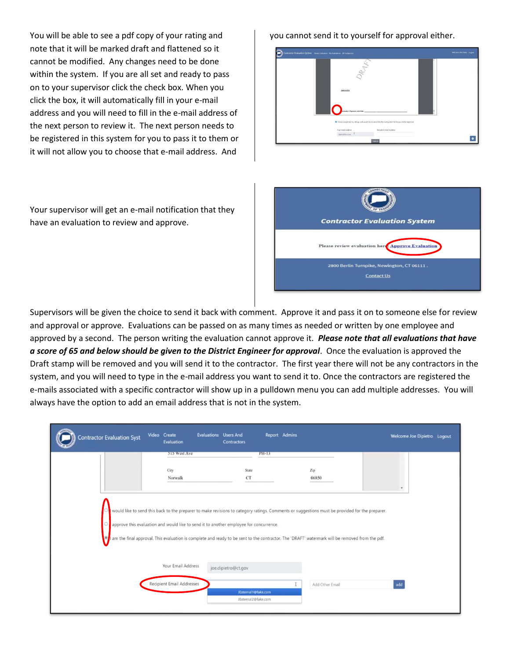You will be able to see a pdf copy of your rating and note that it will be marked draft and flattened so it cannot be modified. Any changes need to be done within the system. If you are all set and ready to pass on to your supervisor click the check box. When you click the box, it will automatically fill in your e-mail address and you will need to fill in the e-mail address of the next person to review it. The next person needs to be registered in this system for you to pass it to them or it will not allow you to choose that e-mail address. And

Your supervisor will get an e-mail notification that they have an evaluation to review and approve.

you cannot send it to yourself for approval either.





Supervisors will be given the choice to send it back with comment. Approve it and pass it on to someone else for review and approval or approve. Evaluations can be passed on as many times as needed or written by one employee and approved by a second. The person writing the evaluation cannot approve it. *Please note that all evaluations that have a score of 65 and below should be given to the District Engineer for approval*. Once the evaluation is approved the Draft stamp will be removed and you will send it to the contractor. The first year there will not be any contractors in the system, and you will need to type in the e-mail address you want to send it to. Once the contractors are registered the e-mails associated with a specific contractor will show up in a pulldown menu you can add multiple addresses. You will always have the option to add an email address that is not in the system.

| <b>Contractor Evaluation Syst</b> | Video Create<br>Evaluation       | <b>Evaluations</b> Users And<br>Contractors                                                                                                                                                                                                                                                                                                                                                | Report Admins   | Welcome Joe Dipietro Logout |
|-----------------------------------|----------------------------------|--------------------------------------------------------------------------------------------------------------------------------------------------------------------------------------------------------------------------------------------------------------------------------------------------------------------------------------------------------------------------------------------|-----------------|-----------------------------|
|                                   | 515 West Ave                     | PH-13                                                                                                                                                                                                                                                                                                                                                                                      |                 |                             |
|                                   | City<br>Norwalk                  | State<br>CT                                                                                                                                                                                                                                                                                                                                                                                | Zip<br>06850    | $\star$                     |
|                                   |                                  | would like to send this back to the preparer to make revisions to category ratings. Comments or suggestions must be provided for the preparer.<br>approve this evaluation and would like to send it to another employee for concurrence.<br>am the final approval. This evaluation is complete and ready to be sent to the contractor. The 'DRAFT' watermark will be removed from the pdf. |                 |                             |
|                                   | Your Email Address               | joe.dipietro@ct.gov                                                                                                                                                                                                                                                                                                                                                                        |                 |                             |
|                                   | <b>Recipient Email Addresses</b> |                                                                                                                                                                                                                                                                                                                                                                                            | Add Other Email | add                         |
|                                   |                                  | JExternal1@fake.com                                                                                                                                                                                                                                                                                                                                                                        |                 |                             |
|                                   |                                  | JExternal2@fake.com                                                                                                                                                                                                                                                                                                                                                                        |                 |                             |
|                                   |                                  |                                                                                                                                                                                                                                                                                                                                                                                            |                 |                             |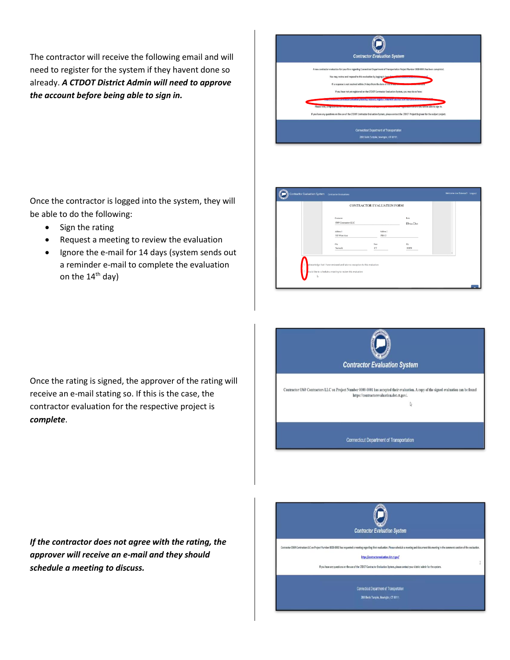The contractor will receive the following email and will need to register for the system if they havent done so already. *A CTDOT District Admin will need to approve the account before being able to sign in.*

| <b>Contractor Evaluation System</b>                                                                                                                                                                                                                                                                                                                                                                                                                                                                                                                                                                                                                                                                       |
|-----------------------------------------------------------------------------------------------------------------------------------------------------------------------------------------------------------------------------------------------------------------------------------------------------------------------------------------------------------------------------------------------------------------------------------------------------------------------------------------------------------------------------------------------------------------------------------------------------------------------------------------------------------------------------------------------------------|
| A new contractor evaluation for your firm regarding Connecticut Department of Transportation Project Number 0000-0001 has been completed.<br>You may review and respond to this evaluation by logging in here-<br>If a response is not received within 14 days from the date of this emany<br>If you have not yet registered on the CTDOT Contractor Evaluation System, you may do so here:<br>tert valuation/Identity/Account/Register /who Ami=3&returnUn=<br>Please note, a representative work<br>executive to the way will be able to sign in.<br>If you have any questions on the use of the CTDOT Contractor Evaluation System, please contact the CTDOT Project Engineer for the subject project. |
| <b>Connecticut Department of Transportation</b><br>2800 Berlin Tumpike, Newington, CT 06111.                                                                                                                                                                                                                                                                                                                                                                                                                                                                                                                                                                                                              |

Once the contractor is logged into the system, they will be able to do the following:

- Sign the rating
- Request a meeting to review the evaluation
- Ignore the e-mail for 14 days (system sends out a reminder e-mail to complete the evaluation on the  $14<sup>th</sup>$  day)

|                |                                                                                                                                        | <b>CONTRACTOR EVALUATION FORM</b> |                     |        |
|----------------|----------------------------------------------------------------------------------------------------------------------------------------|-----------------------------------|---------------------|--------|
|                | Contractor<br>0369 Contractors LLC                                                                                                     |                                   | Role<br>Elvine Dish |        |
|                | Address 1<br>515 West Ave                                                                                                              | Address 2<br>PH-13                |                     |        |
|                | City<br>Norwalk                                                                                                                        | State<br>CT                       | Zip<br>06850        | $\sim$ |
| O <sub>1</sub> | cknowledge that I have reviewed and take no exception to this evaluation<br>yould like to schedule a meeting to review this evaluation |                                   |                     |        |





*If the contractor does not agree with the rating, the approver will receive an e-mail and they should schedule a meeting to discuss.*